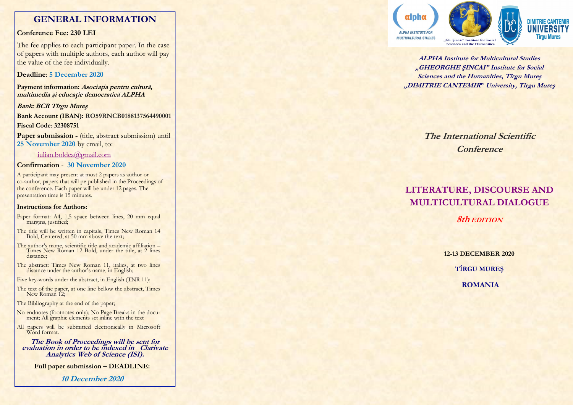# **GENERAL INFORMATION**

## **Conference Fee: 230 LEI**

The fee applies to each participant paper. In the case of papers with multiple authors, each author will pay the value of the fee individually.

## **Deadline**: **5 December 2020**

**Payment information: Asociaţia pentru cultură, multimedia şi educaţie democratică ALPHA**

**Bank: BCR Tîrgu Mureş Bank Account (IBAN): RO59RNCB0188137564490001 Fiscal Code**: **32308751** Paper submission - (title, abstract submission) until

**25 November 2020** by email, to:

### iulian.boldea@gmail.com

# **Confirmation** - **30 November 2020**

A participant may present at most 2 papers as author or co -author, papers that will pe published in the Proceedings of the conference. Each paper will be under 12 pages. The presentation time is 15 minutes.

### **Instructions for Authors:**

- Paper format: A4, 1,5 space between lines, 20 mm equal margins, justified;
- The title will be written in capitals, Times New Roman 14 Bold, Centered, at 50 mm above the text;
- The author's name, scientific title and academic affiliation Times New Roman 12 Bold, under the title, at 2 lines distance;
- The abstract: Times New Roman 11, italics, at two lines distance under the author's name, in English;
- Five key -words under the abstract, in English (TNR 11);
- The text of the paper, at one line bellow the abstract, Times New Roman 12;

The Bibliography at the end of the paper;

- No endnotes (footnotes only); No Page Breaks in the docu-ment; All graphic elements set inline with the text
- All papers will be submitted electronically in Microsoft Word format.

**The Book of Proceedings will be sent for evaluation in order to be indexed in Clarivate Analytics Web of Science (ISI).**

**Full paper submission – DEADLINE:** 

**10 December 2020**



**ALPHA Institute for Multicultural Studies "GHEORGHE ŞINCAI" Institute for Social Sciences and the Humanities, Tîrgu Mureş "DIMITRIE CANTEMIR" University, Tîrgu Mureş**

> **The International Scientific Conference**

# **LITERATURE, DISCOURSE AND MULTICULTURAL DIALOGUE**

**8th EDITION**

**12 -13 DECEMBER 2020 TÎRGU MUREŞ**

**ROMANIA**